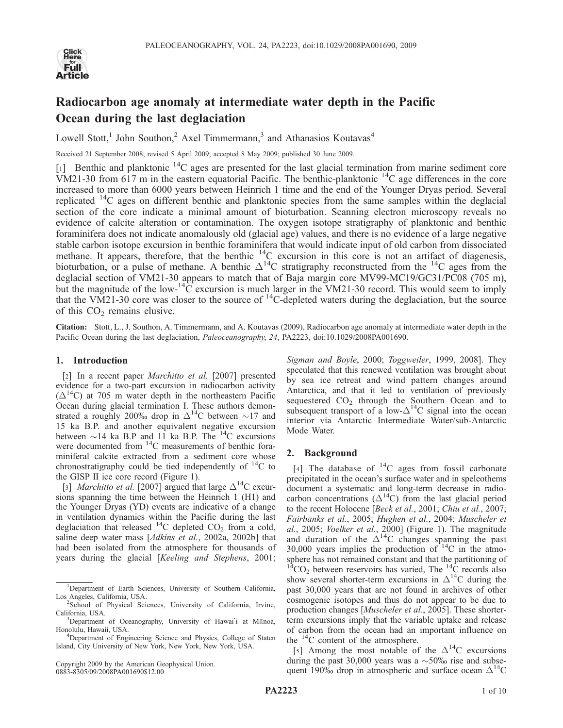

# Radiocarbon age anomaly at intermediate water depth in the Pacific Ocean during the last deglaciation

Lowell Stott,<sup>1</sup> John Southon,<sup>2</sup> Axel Timmermann,<sup>3</sup> and Athanasios Koutavas<sup>4</sup>

Received 21 September 2008; revised 5 April 2009; accepted 8 May 2009; published 30 June 2009.

 $\lceil 1 \rceil$  Benthic and planktonic  $\lceil 14 \rceil$  ages are presented for the last glacial termination from marine sediment core VM21-30 from  $617$  m in the eastern equatorial Pacific. The benthic-planktonic  $^{14}$ C age differences in the core increased to more than 6000 years between Heinrich 1 time and the end of the Younger Dryas period. Several replicated  $14C$  ages on different benthic and planktonic species from the same samples within the deglacial section of the core indicate a minimal amount of bioturbation. Scanning electron microscopy reveals no evidence of calcite alteration or contamination. The oxygen isotope stratigraphy of planktonic and benthic foraminifera does not indicate anomalously old (glacial age) values, and there is no evidence of a large negative stable carbon isotope excursion in benthic foraminifera that would indicate input of old carbon from dissociated methane. It appears, therefore, that the benthic <sup>14</sup>C excursion in this core is not an artifact of diagenesis, bioturbation, or a pulse of methane. A benthic  $\Delta^{14}C$  stratigraphy reconstructed from the  $^{14}C$  ages from the deglacial section of VM21-30 appears to match that of Baja margin core MV99-MC19/GC31/PC08 (705 m), but the magnitude of the low- $^{14}C$  excursion is much larger in the VM21-30 record. This would seem to imply that the VM21-30 core was closer to the source of  ${}^{14}$ C-depleted waters during the deglaciation, but the source of this  $CO<sub>2</sub>$  remains elusive.

Citation: Stott, L., J. Southon, A. Timmermann, and A. Koutavas (2009), Radiocarbon age anomaly at intermediate water depth in the Pacific Ocean during the last deglaciation, *Paleoceanography*, 24, PA2223, doi:10.1029/2008PA001690.

#### 1. Introduction

[2] In a recent paper *Marchitto et al.* [2007] presented evidence for a two-part excursion in radiocarbon activity  $(\Delta^{14}C)$  at 705 m water depth in the northeastern Pacific Ocean during glacial termination I. These authors demonstrated a roughly 200‰ drop in  $\Delta^{14}$ C between ~17 and 15 ka B.P. and another equivalent negative excursion between  $\sim$ 14 ka B.P and 11 ka B.P. The <sup>14</sup>C excursions were documented from <sup>14</sup>C measurements of benthic foraminiferal calcite extracted from a sediment core whose chronostratigraphy could be tied independently of  ${}^{14}C$  to the GISP II ice core record (Figure 1).

[3] *Marchitto et al.* [2007] argued that large  $\Delta^{14}$ C excursions spanning the time between the Heinrich 1 (H1) and the Younger Dryas (YD) events are indicative of a change in ventilation dynamics within the Pacific during the last deglaciation that released  $^{14}$ C depleted CO<sub>2</sub> from a cold, saline deep water mass [Adkins et al., 2002a, 2002b] that had been isolated from the atmosphere for thousands of years during the glacial [Keeling and Stephens, 2001;

Copyright 2009 by the American Geophysical Union. 0883-8305/09/2008PA001690\$12.00

Sigman and Boyle, 2000; Toggweiler, 1999, 2008]. They speculated that this renewed ventilation was brought about by sea ice retreat and wind pattern changes around Antarctica, and that it led to ventilation of previously sequestered  $CO<sub>2</sub>$  through the Southern Ocean and to subsequent transport of a low- $\Delta^{14}$ C signal into the ocean interior via Antarctic Intermediate Water/sub-Antarctic Mode Water.

#### 2. Background

[4] The database of  $^{14}$ C ages from fossil carbonate precipitated in the ocean's surface water and in speleothems document a systematic and long-term decrease in radiocarbon concentrations  $(\Delta^{14}C)$  from the last glacial period to the recent Holocene [Beck et al., 2001; Chiu et al., 2007; Fairbanks et al., 2005; Hughen et al., 2004; Muscheler et al., 2005; Voelker et al., 2000] (Figure 1). The magnitude and duration of the  $\Delta^{14}$ C changes spanning the past 30,000 years implies the production of  $14^{\circ}$ C in the atmosphere has not remained constant and that the partitioning of  $^{14}CO<sub>2</sub>$  between reservoirs has varied, The  $^{14}C$  records also show several shorter-term excursions in  $\Delta^{14}$ C during the past 30,000 years that are not found in archives of other cosmogenic isotopes and thus do not appear to be due to production changes [Muscheler et al., 2005]. These shorterterm excursions imply that the variable uptake and release of carbon from the ocean had an important influence on the <sup>14</sup>C content of the atmosphere.

[5] Among the most notable of the  $\Delta^{14}$ C excursions during the past 30,000 years was a  $\sim$  50% rise and subsequent 190% drop in atmospheric and surface ocean  $\Delta^{14}$ C

<sup>&</sup>lt;sup>1</sup>Department of Earth Sciences, University of Southern California, Los Angeles, California, USA. <sup>2</sup>

<sup>&</sup>lt;sup>2</sup>School of Physical Sciences, University of California, Irvine, California, USA.

Department of Oceanography, University of Hawai'i at Mānoa, Honolulu, Hawaii, USA. <sup>4</sup>

<sup>&</sup>lt;sup>4</sup>Department of Engineering Science and Physics, College of Staten Island, City University of New York, New York, New York, USA.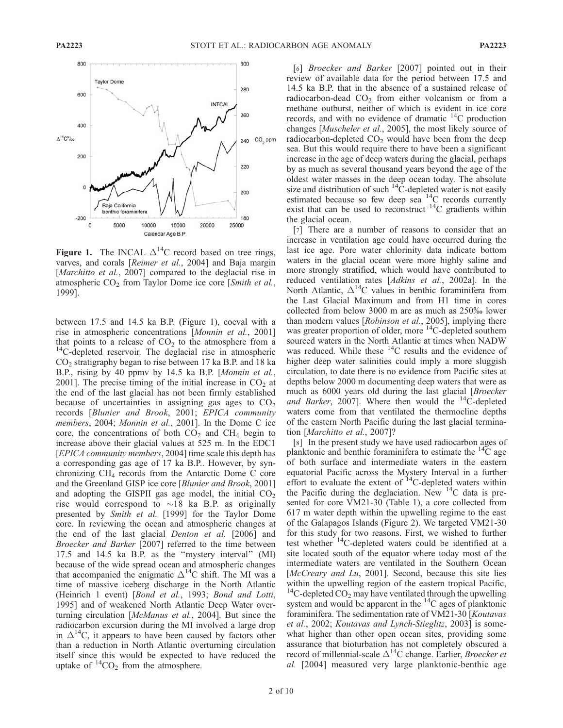

Figure 1. The INCAL  $\Delta^{14}$ C record based on tree rings, varves, and corals [Reimer et al., 2004] and Baja margin [Marchitto et al., 2007] compared to the deglacial rise in atmospheric  $CO<sub>2</sub>$  from Taylor Dome ice core [Smith et al., 1999].

between 17.5 and 14.5 ka B.P. (Figure 1), coeval with a rise in atmospheric concentrations [Monnin et al., 2001] that points to a release of  $CO<sub>2</sub>$  to the atmosphere from a <sup>14</sup>C-depleted reservoir. The deglacial rise in atmospheric  $CO<sub>2</sub>$  stratigraphy began to rise between 17 ka B.P. and 18 ka B.P., rising by 40 ppmv by 14.5 ka B.P. [Monnin et al., 2001]. The precise timing of the initial increase in  $CO<sub>2</sub>$  at the end of the last glacial has not been firmly established because of uncertainties in assigning gas ages to  $CO<sub>2</sub>$ records [Blunier and Brook, 2001; EPICA community members, 2004; Monnin et al., 2001]. In the Dome C ice core, the concentrations of both  $CO<sub>2</sub>$  and  $CH<sub>4</sub>$  begin to increase above their glacial values at 525 m. In the EDC1 [EPICA community members, 2004] time scale this depth has a corresponding gas age of 17 ka B.P.. However, by synchronizing  $CH<sub>4</sub>$  records from the Antarctic Dome C core and the Greenland GISP ice core [Blunier and Brook, 2001] and adopting the GISPII gas age model, the initial  $CO<sub>2</sub>$ rise would correspond to  $\sim$ 18 ka B.P. as originally presented by *Smith et al.* [1999] for the Taylor Dome core. In reviewing the ocean and atmospheric changes at the end of the last glacial Denton et al. [2006] and Broecker and Barker [2007] referred to the time between 17.5 and 14.5 ka B.P. as the ''mystery interval'' (MI) because of the wide spread ocean and atmospheric changes that accompanied the enigmatic  $\Delta^{14}$ C shift. The MI was a time of massive iceberg discharge in the North Atlantic (Heinrich 1 event) [Bond et al., 1993; Bond and Lotti, 1995] and of weakened North Atlantic Deep Water overturning circulation [McManus et al., 2004]. But since the radiocarbon excursion during the MI involved a large drop in  $\Delta^{14}$ C, it appears to have been caused by factors other than a reduction in North Atlantic overturning circulation itself since this would be expected to have reduced the uptake of  ${}^{14}CO_2$  from the atmosphere.

[6] Broecker and Barker [2007] pointed out in their review of available data for the period between 17.5 and 14.5 ka B.P. that in the absence of a sustained release of radiocarbon-dead  $CO<sub>2</sub>$  from either volcanism or from a methane outburst, neither of which is evident in ice core records, and with no evidence of dramatic  $^{14}$ C production changes [Muscheler et al., 2005], the most likely source of radiocarbon-depleted  $CO<sub>2</sub>$  would have been from the deep sea. But this would require there to have been a significant increase in the age of deep waters during the glacial, perhaps by as much as several thousand years beyond the age of the oldest water masses in the deep ocean today. The absolute size and distribution of such  $14^{\circ}$ C-depleted water is not easily estimated because so few deep sea <sup>14</sup>C records currently exist that can be used to reconstruct  $^{14}$ C gradients within the glacial ocean.

[7] There are a number of reasons to consider that an increase in ventilation age could have occurred during the last ice age. Pore water chlorinity data indicate bottom waters in the glacial ocean were more highly saline and more strongly stratified, which would have contributed to reduced ventilation rates [Adkins et al., 2002a]. In the North Atlantic,  $\Delta^{14}$ C values in benthic foraminifera from the Last Glacial Maximum and from H1 time in cores collected from below 3000 m are as much as 250% lower than modern values [*Robinson et al.*, 2005], implying there was greater proportion of older, more <sup>14</sup>C-depleted southern sourced waters in the North Atlantic at times when NADW was reduced. While these  $^{14}$ C results and the evidence of higher deep water salinities could imply a more sluggish circulation, to date there is no evidence from Pacific sites at depths below 2000 m documenting deep waters that were as much as 6000 years old during the last glacial [Broecker and Barker, 2007]. Where then would the  $^{14}$ C-depleted waters come from that ventilated the thermocline depths of the eastern North Pacific during the last glacial termination [Marchitto et al., 2007]?

[8] In the present study we have used radiocarbon ages of planktonic and benthic foraminifera to estimate the  ${}^{14}C$  age of both surface and intermediate waters in the eastern equatorial Pacific across the Mystery Interval in a further effort to evaluate the extent of <sup>14</sup>C-depleted waters within the Pacific during the deglaciation. New  $14C$  data is presented for core VM21-30 (Table 1), a core collected from 617 m water depth within the upwelling regime to the east of the Galapagos Islands (Figure 2). We targeted VM21-30 for this study for two reasons. First, we wished to further test whether 14C-depleted waters could be identified at a site located south of the equator where today most of the intermediate waters are ventilated in the Southern Ocean [McCreary and Lu, 2001]. Second, because this site lies within the upwelling region of the eastern tropical Pacific, <sup>14</sup>C-depleted  $CO_2$  may have ventilated through the upwelling system and would be apparent in the  ${}^{14}C$  ages of planktonic foraminifera. The sedimentation rate of VM21-30 [Koutavas et al., 2002; Koutavas and Lynch-Stieglitz, 2003] is somewhat higher than other open ocean sites, providing some assurance that bioturbation has not completely obscured a record of millennial-scale  $\Delta^{14}$ C change. Earlier, *Broecker et* al. [2004] measured very large planktonic-benthic age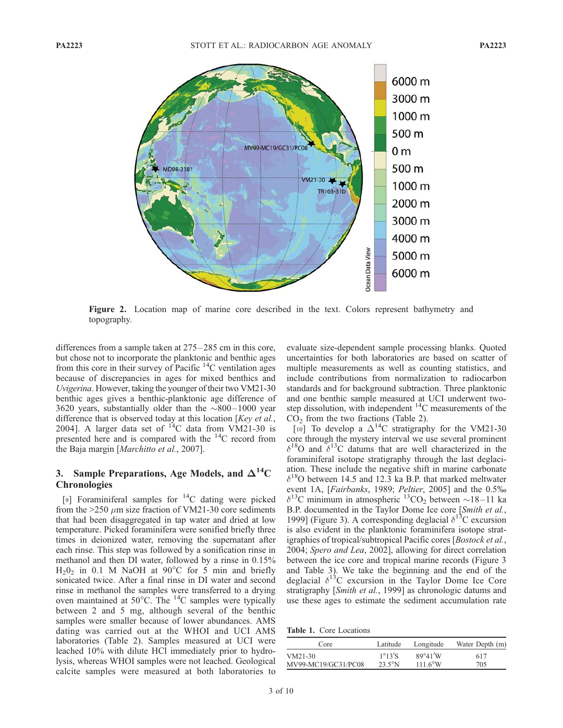

Figure 2. Location map of marine core described in the text. Colors represent bathymetry and topography.

differences from a sample taken at  $275-285$  cm in this core, but chose not to incorporate the planktonic and benthic ages from this core in their survey of Pacific  $^{14}$ C ventilation ages because of discrepancies in ages for mixed benthics and Uvigerina. However, taking the younger of their two VM21-30 benthic ages gives a benthic-planktonic age difference of 3620 years, substantially older than the  $\sim$ 800–1000 year difference that is observed today at this location [Key et al., 2004]. A larger data set of  $^{14}$ C data from VM21-30 is presented here and is compared with the  $^{14}$ C record from the Baja margin [Marchitto et al., 2007].

### 3. Sample Preparations, Age Models, and  $\Delta^{14}C$ **Chronologies**

[9] Foraminiferal samples for  $^{14}$ C dating were picked from the  $>250 \mu m$  size fraction of VM21-30 core sediments that had been disaggregated in tap water and dried at low temperature. Picked foraminifera were sonified briefly three times in deionized water, removing the supernatant after each rinse. This step was followed by a sonification rinse in methanol and then DI water, followed by a rinse in 0.15%  $H<sub>2</sub>0<sub>2</sub>$  in 0.1 M NaOH at 90°C for 5 min and briefly sonicated twice. After a final rinse in DI water and second rinse in methanol the samples were transferred to a drying oven maintained at  $50^{\circ}$ C. The  $^{14}$ C samples were typically between 2 and 5 mg, although several of the benthic samples were smaller because of lower abundances. AMS dating was carried out at the WHOI and UCI AMS laboratories (Table 2). Samples measured at UCI were leached 10% with dilute HCl immediately prior to hydrolysis, whereas WHOI samples were not leached. Geological calcite samples were measured at both laboratories to evaluate size-dependent sample processing blanks. Quoted uncertainties for both laboratories are based on scatter of multiple measurements as well as counting statistics, and include contributions from normalization to radiocarbon standards and for background subtraction. Three planktonic and one benthic sample measured at UCI underwent twostep dissolution, with independent  ${}^{14}C$  measurements of the  $CO<sub>2</sub>$  from the two fractions (Table 2).

[10] To develop a  $\Delta^{14}$ C stratigraphy for the VM21-30 core through the mystery interval we use several prominent  $\delta^{18}$ O and  $\delta^{13}$ C datums that are well characterized in the foraminiferal isotope stratigraphy through the last deglaciation. These include the negative shift in marine carbonate  $\delta^{18}$ O between 14.5 and 12.3 ka B.P. that marked meltwater event 1A, [Fairbanks, 1989; Peltier, 2005] and the 0.5%  $\delta^{13}$ C minimum in atmospheric  $^{13}$ CO<sub>2</sub> between  $\sim$ 18–11 ka B.P. documented in the Taylor Dome Ice core [Smith et al., 1999] (Figure 3). A corresponding deglacial  $\delta^{15}$ C excursion is also evident in the planktonic foraminifera isotope stratigraphies of tropical/subtropical Pacific cores [Bostock et al., 2004; Spero and Lea, 2002], allowing for direct correlation between the ice core and tropical marine records (Figure 3 and Table 3). We take the beginning and the end of the deglacial  $\delta^{13}$ C excursion in the Taylor Dome Ice Core stratigraphy [Smith et al., 1999] as chronologic datums and use these ages to estimate the sediment accumulation rate

Table 1. Core Locations

| Core                | Latitude                | Longitude        | Water Depth (m) |
|---------------------|-------------------------|------------------|-----------------|
| VM21-30             | $1^{\circ}13^{\prime}S$ | $89^\circ 41'W$  | 617             |
| MV99-MC19/GC31/PC08 | $23.5^\circ$ N          | $1116^{\circ}$ W | 705             |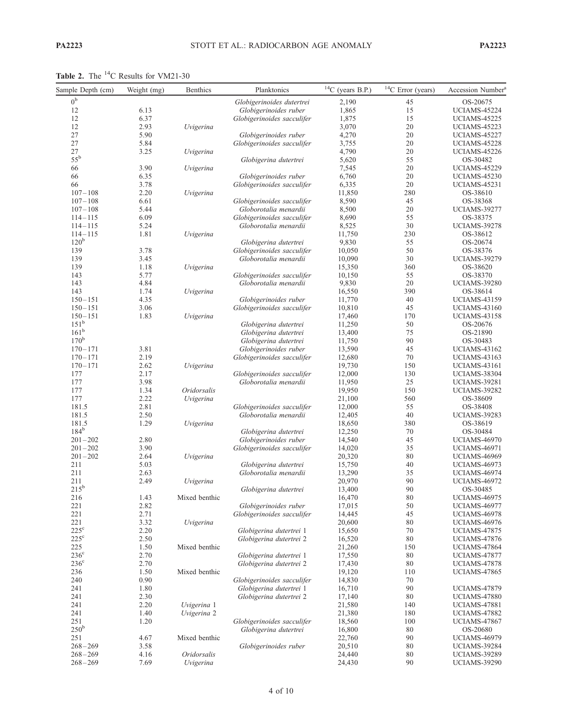Table 2. The <sup>14</sup>C Results for VM21-30

| Sample Depth (cm)          | Weight (mg)  | Benthics      | Planktonics                                         | $^{14}$ C (years B.P.) | $14$ C Error (years) | Accession Number <sup>a</sup>              |
|----------------------------|--------------|---------------|-----------------------------------------------------|------------------------|----------------------|--------------------------------------------|
| 0 <sup>b</sup>             |              |               | Globigerinoides dutertrei                           | 2,190                  | 45                   | OS-20675                                   |
| 12                         | 6.13         |               | Globigerinoides ruber                               | 1,865                  | 15                   | <b>UCIAMS-45224</b>                        |
| 12                         | 6.37         |               | Globigerinoides sacculifer                          | 1,875                  | 15                   | <b>UCIAMS-45225</b>                        |
| 12                         | 2.93         | Uvigerina     |                                                     | 3,070                  | 20                   | <b>UCIAMS-45223</b>                        |
| $27\,$                     | 5.90         |               | Globigerinoides ruber                               | 4,270                  | 20                   | <b>UCIAMS-45227</b>                        |
| $27\,$                     | 5.84         |               | Globigerinoides sacculifer                          | 3,755                  | 20                   | <b>UCIAMS-45228</b>                        |
| $27\,$                     | 3.25         | Uvigerina     |                                                     | 4,790                  | 20                   | <b>UCIAMS-45226</b>                        |
| $55^{\rm b}$               |              |               | Globigerina dutertrei                               | 5,620                  | 55                   | OS-30482                                   |
| 66                         | 3.90         | Uvigerina     |                                                     | 7,545                  | 20<br>20             | <b>UCIAMS-45229</b>                        |
| 66<br>66                   | 6.35<br>3.78 |               | Globigerinoides ruber<br>Globigerinoides sacculifer | 6,760<br>6,335         | 20                   | <b>UCIAMS-45230</b><br><b>UCIAMS-45231</b> |
| $107 - 108$                | 2.20         | Uvigerina     |                                                     | 11,850                 | 280                  | OS-38610                                   |
| $107 - 108$                | 6.61         |               | Globigerinoides sacculifer                          | 8,590                  | 45                   | OS-38368                                   |
| $107 - 108$                | 5.44         |               | Globorotalia menardii                               | 8,500                  | 20                   | <b>UCIAMS-39277</b>                        |
| $114 - 115$                | 6.09         |               | Globigerinoides sacculifer                          | 8,690                  | 55                   | OS-38375                                   |
| $114 - 115$                | 5.24         |               | Globorotalia menardii                               | 8,525                  | 30                   | <b>UCIAMS-39278</b>                        |
| $114 - 115$                | 1.81         | Uvigerina     |                                                     | 11,750                 | 230                  | OS-38612                                   |
| 120 <sup>b</sup>           |              |               | Globigerina dutertrei                               | 9,830                  | 55                   | OS-20674                                   |
| 139                        | 3.78         |               | Globigerinoides sacculifer                          | 10,050                 | 50                   | OS-38376                                   |
| 139                        | 3.45         |               | Globorotalia menardii                               | 10,090                 | 30                   | <b>UCIAMS-39279</b>                        |
| 139                        | 1.18         | Uvigerina     |                                                     | 15,350                 | 360                  | OS-38620                                   |
| 143                        | 5.77         |               | Globigerinoides sacculifer                          | 10,150                 | 55                   | OS-38370                                   |
| 143                        | 4.84         |               | Globorotalia menardii                               | 9,830                  | 20                   | <b>UCIAMS-39280</b>                        |
| 143                        | 1.74         | Uvigerina     |                                                     | 16,550                 | 390                  | OS-38614                                   |
| $150 - 151$                | 4.35         |               | Globigerinoides ruber                               | 11,770                 | 40                   | <b>UCIAMS-43159</b>                        |
| $150 - 151$                | 3.06         |               | Globigerinoides sacculifer                          | 10,810                 | 45                   | <b>UCIAMS-43160</b>                        |
| $150 - 151$                | 1.83         | Uvigerina     |                                                     | 17,460                 | 170                  | <b>UCIAMS-43158</b>                        |
| $151^{\rm b}$              |              |               | Globigerina dutertrei                               | 11,250                 | 50                   | OS-20676                                   |
| $161^b$                    |              |               | Globigerina dutertrei                               | 13,400                 | 75                   | OS-21890                                   |
| $170^{\rm b}$              |              |               | Globigerina dutertrei                               | 11,750                 | 90                   | OS-30483                                   |
| $170 - 171$                | 3.81         |               | Globigerinoides ruber                               | 13,590                 | 45                   | <b>UCIAMS-43162</b>                        |
| $170 - 171$                | 2.19         |               | Globigerinoides sacculifer                          | 12,680                 | 70                   | <b>UCIAMS-43163</b>                        |
| $170 - 171$                | 2.62         | Uvigerina     |                                                     | 19,730                 | 150                  | <b>UCIAMS-43161</b>                        |
| 177                        | 2.17         |               | Globigerinoides sacculifer                          | 12,000                 | 130                  | UCIAMS-38304                               |
| 177                        | 3.98         |               | Globorotalia menardii                               | 11,950                 | 25                   | <b>UCIAMS-39281</b>                        |
| 177                        | 1.34         | Oridorsalis   |                                                     | 19,950                 | 150                  | <b>UCIAMS-39282</b>                        |
| 177<br>181.5               | 2.22<br>2.81 | Uvigerina     |                                                     | 21,100                 | 560<br>55            | OS-38609                                   |
| 181.5                      | 2.50         |               | Globigerinoides sacculifer<br>Globorotalia menardii | 12,000<br>12,405       | 40                   | OS-38408                                   |
| 181.5                      | 1.29         | Uvigerina     |                                                     | 18,650                 | 380                  | <b>UCIAMS-39283</b><br>OS-38619            |
| $184^{b}$                  |              |               | Globigerina dutertrei                               | 12,250                 | 70                   | OS-30484                                   |
| $201 - 202$                | 2.80         |               | Globigerinoides ruber                               | 14,540                 | 45                   | <b>UCIAMS-46970</b>                        |
| $201 - 202$                | 3.90         |               | Globigerinoides sacculifer                          | 14,020                 | 35                   | <b>UCIAMS-46971</b>                        |
| $201 - 202$                | 2.64         | Uvigerina     |                                                     | 20,320                 | 80                   | <b>UCIAMS-46969</b>                        |
| 211                        | 5.03         |               | Globigerina dutertrei                               | 15,750                 | 40                   | <b>UCIAMS-46973</b>                        |
| 211                        | 2.63         |               | Globorotalia menardii                               | 13,290                 | 35                   | <b>UCIAMS-46974</b>                        |
| 211                        | 2.49         | Uvigerina     |                                                     | 20,970                 | 90                   | <b>UCIAMS-46972</b>                        |
| $215^{b}$                  |              |               | Globigerina dutertrei                               | 13,400                 | 90                   | OS-30485                                   |
| 216                        | 1.43         | Mixed benthic |                                                     | 16,470                 | 80                   | <b>UCIAMS-46975</b>                        |
| 221                        | 2.82         |               | Globigerinoides ruber                               | 17,015                 | 50                   | <b>UCIAMS-46977</b>                        |
| 221                        | 2.71         |               | Globigerinoides sacculifer                          | 14,445                 | 45                   | <b>UCIAMS-46978</b>                        |
| 221                        | 3.32         | Uvigerina     |                                                     | 20,600                 | 80                   | <b>UCIAMS-46976</b>                        |
| $225^{\circ}$              | 2.20         |               | Globigerina dutertrei 1                             | 15,650                 | 70                   | <b>UCIAMS-47875</b>                        |
| $225^{\circ}$              | 2.50         |               | Globigerina dutertrei 2                             | 16,520                 | 80                   | <b>UCIAMS-47876</b>                        |
| 225                        | 1.50         | Mixed benthic |                                                     | 21,260                 | 150                  | UCIAMS-47864                               |
| $236^{\circ}$              | 2.70         |               | Globigerina dutertrei 1                             | 17,550                 | 80                   | UCIAMS-47877                               |
| $236^{\circ}$              | 2.70         |               | Globigerina dutertrei 2                             | 17,430                 | 80                   | <b>UCIAMS-47878</b>                        |
| 236                        | 1.50         | Mixed benthic |                                                     | 19,120                 | 110                  | <b>UCIAMS-47865</b>                        |
| 240                        | 0.90         |               | Globigerinoides sacculifer                          | 14,830                 | 70                   |                                            |
| 241                        | 1.80         |               | Globigerina dutertrei 1                             | 16,710                 | 90                   | <b>UCIAMS-47879</b>                        |
| 241                        | 2.30         |               | Globigerina dutertrei 2                             | 17,140                 | 80                   | <b>UCIAMS-47880</b>                        |
| 241                        | 2.20         | Uvigerina 1   |                                                     | 21,580                 | 140                  | UCIAMS-47881                               |
| 241                        | 1.40         | Uvigerina 2   |                                                     | 21,380                 | 180                  | <b>UCIAMS-47882</b>                        |
| 251                        | 1.20         |               | Globigerinoides sacculifer                          | 18,560                 | 100                  | UCIAMS-47867                               |
| $250^{\rm b}$              |              |               | Globigerina dutertrei                               | 16,800                 | 80                   | OS-20680                                   |
| 251                        | 4.67         | Mixed benthic |                                                     | 22,760                 | 90                   | <b>UCIAMS-46979</b>                        |
| $268 - 269$<br>$268 - 269$ | 3.58<br>4.16 | Oridorsalis   | Globigerinoides ruber                               | 20,510<br>24,440       | 80<br>80             | <b>UCIAMS-39284</b><br><b>UCIAMS-39289</b> |
| $268 - 269$                | 7.69         | Uvigerina     |                                                     | 24,430                 | 90                   | <b>UCIAMS-39290</b>                        |
|                            |              |               |                                                     |                        |                      |                                            |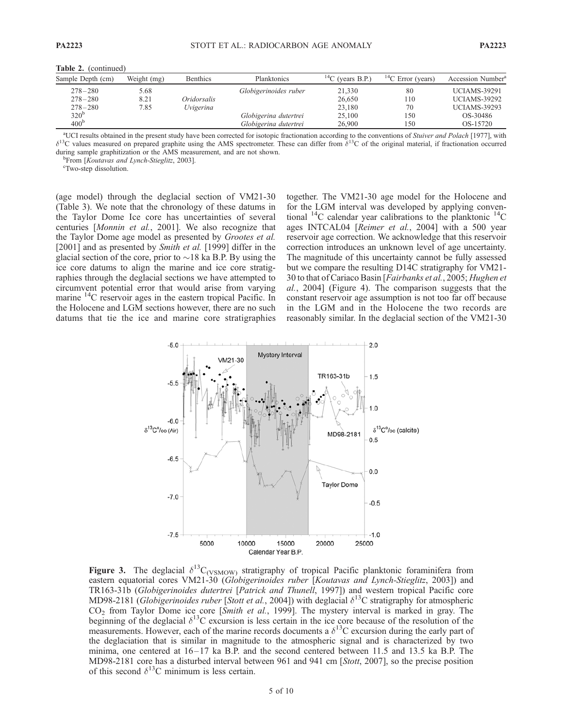| Sample Depth (cm) | Weight (mg) | <b>Benthics</b> | Planktonics           | ${}^{14}C$ (years B.P.) | <sup>14</sup> C Error (years) | Accession Number <sup>a</sup> |
|-------------------|-------------|-----------------|-----------------------|-------------------------|-------------------------------|-------------------------------|
| $278 - 280$       | 5.68        |                 | Globigerinoides ruber | 21,330                  | 80                            | UCIAMS-39291                  |
| $278 - 280$       | 8.21        | Oridorsalis     |                       | 26,650                  | 110                           | UCIAMS-39292                  |
| $278 - 280$       | 7.85        | Uvigerina       |                       | 23,180                  | 70                            | <b>UCIAMS-39293</b>           |
| $320^{\rm b}$     |             |                 | Globigerina dutertrei | 25,100                  | 150                           | OS-30486                      |
| 400 <sup>b</sup>  |             |                 | Globigerina dutertrei | 26,900                  | 150                           | OS-15720                      |

Table 2. (continued)

<sup>a</sup>UCI results obtained in the present study have been corrected for isotopic fractionation according to the conventions of Stuiver and Polach [1977], with  $\delta^{13}$ C values measured on prepared graphite using the AMS spectrometer. These can differ from  $\delta^{13}$ C of the original material, if fractionation occurred during sample graphitization or the AMS measurement, and are not shown.

 $^{\rm b}$ From [Koutavas and Lynch-Stieglitz, 2003].

Two-step dissolution.

(age model) through the deglacial section of VM21-30 (Table 3). We note that the chronology of these datums in the Taylor Dome Ice core has uncertainties of several centuries [Monnin et al., 2001]. We also recognize that the Taylor Dome age model as presented by Grootes et al. [2001] and as presented by *Smith et al.* [1999] differ in the glacial section of the core, prior to  $\sim$  18 ka B.P. By using the ice core datums to align the marine and ice core stratigraphies through the deglacial sections we have attempted to circumvent potential error that would arise from varying marine  $^{14}$ C reservoir ages in the eastern tropical Pacific. In the Holocene and LGM sections however, there are no such datums that tie the ice and marine core stratigraphies together. The VM21-30 age model for the Holocene and for the LGM interval was developed by applying conventional  $^{14}$ C calendar year calibrations to the planktonic  $^{14}$ C ages INTCAL04 [Reimer et al., 2004] with a 500 year reservoir age correction. We acknowledge that this reservoir correction introduces an unknown level of age uncertainty. The magnitude of this uncertainty cannot be fully assessed but we compare the resulting D14C stratigraphy for VM21- 30 to that of Cariaco Basin [Fairbanks et al., 2005; Hughen et al., 2004] (Figure 4). The comparison suggests that the constant reservoir age assumption is not too far off because in the LGM and in the Holocene the two records are reasonably similar. In the deglacial section of the VM21-30



Figure 3. The deglacial  $\delta^{13}C_{\text{(VSMOW)}}$  stratigraphy of tropical Pacific planktonic foraminifera from eastern equatorial cores VM21-30 (Globigerinoides ruber [Koutavas and Lynch-Stieglitz, 2003]) and TR163-31b (Globigerinoides dutertrei [Patrick and Thunell, 1997]) and western tropical Pacific core MD98-2181 (Globigerinoides ruber [Stott et al., 2004]) with deglacial  $\delta^{13}$ C stratigraphy for atmospheric CO2 from Taylor Dome ice core [Smith et al., 1999]. The mystery interval is marked in gray. The beginning of the deglacial  $\delta^{13}$ C excursion is less certain in the ice core because of the resolution of the measurements. However, each of the marine records documents a  $\delta^{13}$ C excursion during the early part of the deglaciation that is similar in magnitude to the atmospheric signal and is characterized by two minima, one centered at  $16-17$  ka B.P. and the second centered between 11.5 and 13.5 ka B.P. The MD98-2181 core has a disturbed interval between 961 and 941 cm [Stott, 2007], so the precise position of this second  $\delta^{13}$ C minimum is less certain.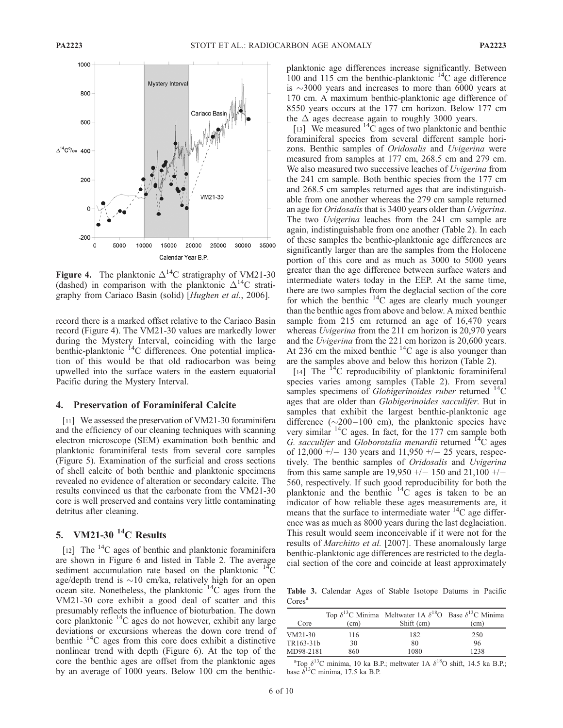

Figure 4. The planktonic  $\Delta^{14}C$  stratigraphy of VM21-30 (dashed) in comparison with the planktonic  $\Delta^{14}$ C stratigraphy from Cariaco Basin (solid) [Hughen et al., 2006].

record there is a marked offset relative to the Cariaco Basin record (Figure 4). The VM21-30 values are markedly lower during the Mystery Interval, coinciding with the large benthic-planktonic <sup>14</sup>C differences. One potential implication of this would be that old radiocarbon was being upwelled into the surface waters in the eastern equatorial Pacific during the Mystery Interval.

#### 4. Preservation of Foraminiferal Calcite

[11] We assessed the preservation of VM21-30 foraminifera and the efficiency of our cleaning techniques with scanning electron microscope (SEM) examination both benthic and planktonic foraminiferal tests from several core samples (Figure 5). Examination of the surficial and cross sections of shell calcite of both benthic and planktonic specimens revealed no evidence of alteration or secondary calcite. The results convinced us that the carbonate from the VM21-30 core is well preserved and contains very little contaminating detritus after cleaning.

## 5. VM21-30 $^{14}$ C Results

[12] The  $^{14}$ C ages of benthic and planktonic foraminifera are shown in Figure 6 and listed in Table 2. The average sediment accumulation rate based on the planktonic  $^{14}$ C age/depth trend is  $\sim$ 10 cm/ka, relatively high for an open ocean site. Nonetheless, the planktonic 14C ages from the VM21-30 core exhibit a good deal of scatter and this presumably reflects the influence of bioturbation. The down core planktonic 14C ages do not however, exhibit any large deviations or excursions whereas the down core trend of benthic  $^{14}$ C ages from this core does exhibit a distinctive nonlinear trend with depth (Figure 6). At the top of the core the benthic ages are offset from the planktonic ages by an average of 1000 years. Below 100 cm the benthicplanktonic age differences increase significantly. Between 100 and 115 cm the benthic-planktonic  $^{14}$ C age difference is  $\sim$ 3000 years and increases to more than 6000 years at 170 cm. A maximum benthic-planktonic age difference of 8550 years occurs at the 177 cm horizon. Below 177 cm the  $\Delta$  ages decrease again to roughly 3000 years.

[13] We measured  ${}^{14}C$  ages of two planktonic and benthic foraminiferal species from several different sample horizons. Benthic samples of Oridosalis and Uvigerina were measured from samples at 177 cm, 268.5 cm and 279 cm. We also measured two successive leaches of *Uvigerina* from the 241 cm sample. Both benthic species from the 177 cm and 268.5 cm samples returned ages that are indistinguishable from one another whereas the 279 cm sample returned an age for Oridosalis that is 3400 years older than Uvigerina. The two *Uvigerina* leaches from the 241 cm sample are again, indistinguishable from one another (Table 2). In each of these samples the benthic-planktonic age differences are significantly larger than are the samples from the Holocene portion of this core and as much as 3000 to 5000 years greater than the age difference between surface waters and intermediate waters today in the EEP. At the same time, there are two samples from the deglacial section of the core for which the benthic  $^{14}$ C ages are clearly much younger than the benthic ages from above and below. A mixed benthic sample from 215 cm returned an age of 16,470 years whereas *Uvigerina* from the 211 cm horizon is 20,970 years and the Uvigerina from the 221 cm horizon is 20,600 years. At 236 cm the mixed benthic  $^{14}$ C age is also younger than are the samples above and below this horizon (Table 2).

[14] The  $^{14}$ C reproducibility of planktonic foraminiferal species varies among samples (Table 2). From several samples specimens of Globigerinoides ruber returned  $^{14}$ C ages that are older than *Globigerinoides sacculifer*. But in samples that exhibit the largest benthic-planktonic age difference  $(\sim 200 - 100)$  cm), the planktonic species have very similar  $^{14}$ C ages. In fact, for the 177 cm sample both G. sacculifer and Globorotalia menardii returned  ${}^{14}C$  ages of 12,000  $+/-$  130 years and 11,950  $+/-$  25 years, respectively. The benthic samples of Oridosalis and Uvigerina from this same sample are  $19,950 +/- 150$  and  $21,100 +/-$ 560, respectively. If such good reproducibility for both the planktonic and the benthic  $^{14}$ C ages is taken to be an indicator of how reliable these ages measurements are, it means that the surface to intermediate water  $^{14}$ C age difference was as much as 8000 years during the last deglaciation. This result would seem inconceivable if it were not for the results of *Marchitto et al.* [2007]. These anomalously large benthic-planktonic age differences are restricted to the deglacial section of the core and coincide at least approximately

Table 3. Calendar Ages of Stable Isotope Datums in Pacific Cores<sup>a</sup>

| Core      | (cm) | Top $\delta^{13}$ C Minima Meltwater 1A $\delta^{18}$ O Base $\delta^{13}$ C Minima<br>Shift (cm) | (cm) |
|-----------|------|---------------------------------------------------------------------------------------------------|------|
| $VM21-30$ | 116  | 182                                                                                               | 250  |
| TR163-31b | 30   | 80                                                                                                | 96   |
| MD98-2181 | 860  | 1080                                                                                              | 1238 |

<sup>a</sup>Top  $\delta^{13}$ C minima, 10 ka B.P.; meltwater 1A  $\delta^{18}$ O shift, 14.5 ka B.P.; base  $\bar{\delta}^{13}$ C minima, 17.5 ka B.P.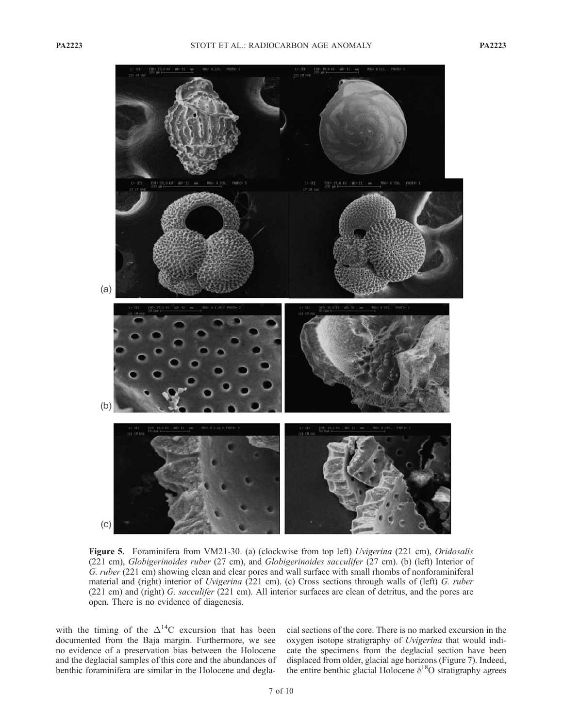

Figure 5. Foraminifera from VM21-30. (a) (clockwise from top left) Uvigerina (221 cm), Oridosalis (221 cm), Globigerinoides ruber (27 cm), and Globigerinoides sacculifer (27 cm). (b) (left) Interior of G. ruber (221 cm) showing clean and clear pores and wall surface with small rhombs of nonforaminiferal material and (right) interior of *Uvigerina* (221 cm). (c) Cross sections through walls of (left) G. ruber (221 cm) and (right) G. sacculifer (221 cm). All interior surfaces are clean of detritus, and the pores are open. There is no evidence of diagenesis.

with the timing of the  $\Delta^{14}$ C excursion that has been documented from the Baja margin. Furthermore, we see no evidence of a preservation bias between the Holocene and the deglacial samples of this core and the abundances of benthic foraminifera are similar in the Holocene and degla-

cial sections of the core. There is no marked excursion in the oxygen isotope stratigraphy of Uvigerina that would indicate the specimens from the deglacial section have been displaced from older, glacial age horizons (Figure 7). Indeed, the entire benthic glacial Holocene  $\delta^{18}$ O stratigraphy agrees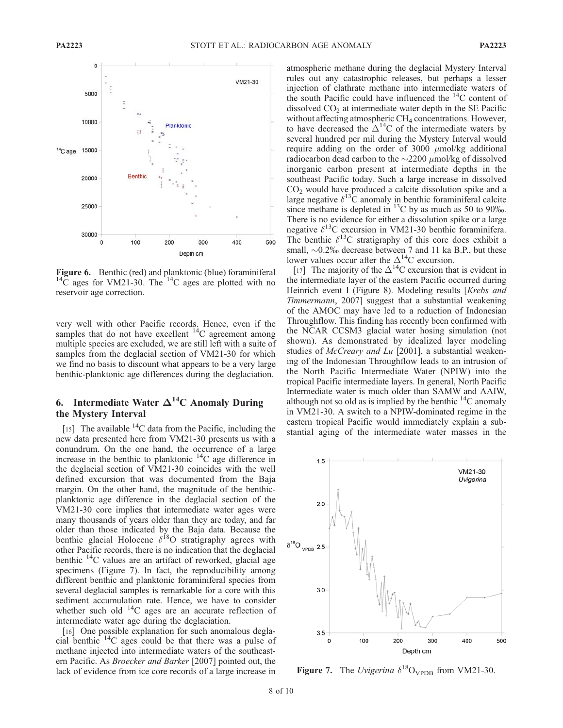

**Figure 6.** Benthic (red) and planktonic (blue) foraminiferal  $^{14}C$  ages for VM21-30. The  $^{14}C$  ages are plotted with no reservoir age correction.

very well with other Pacific records. Hence, even if the samples that do not have excellent  ${}^{14}C$  agreement among multiple species are excluded, we are still left with a suite of samples from the deglacial section of VM21-30 for which we find no basis to discount what appears to be a very large benthic-planktonic age differences during the deglaciation.

## 6. Intermediate Water  $\Delta^{14}$ C Anomaly During the Mystery Interval

[15] The available  ${}^{14}C$  data from the Pacific, including the new data presented here from VM21-30 presents us with a conundrum. On the one hand, the occurrence of a large increase in the benthic to planktonic  $^{14}$ C age difference in the deglacial section of VM21-30 coincides with the well defined excursion that was documented from the Baja margin. On the other hand, the magnitude of the benthicplanktonic age difference in the deglacial section of the VM21-30 core implies that intermediate water ages were many thousands of years older than they are today, and far older than those indicated by the Baja data. Because the benthic glacial Holocene  $\delta^{18}O$  stratigraphy agrees with other Pacific records, there is no indication that the deglacial benthic  $^{14}$ C values are an artifact of reworked, glacial age specimens (Figure 7). In fact, the reproducibility among different benthic and planktonic foraminiferal species from several deglacial samples is remarkable for a core with this sediment accumulation rate. Hence, we have to consider whether such old <sup>14</sup>C ages are an accurate reflection of intermediate water age during the deglaciation.

[16] One possible explanation for such anomalous deglacial benthic  $^{14}$ C ages could be that there was a pulse of methane injected into intermediate waters of the southeastern Pacific. As Broecker and Barker [2007] pointed out, the lack of evidence from ice core records of a large increase in

atmospheric methane during the deglacial Mystery Interval rules out any catastrophic releases, but perhaps a lesser injection of clathrate methane into intermediate waters of the south Pacific could have influenced the  $^{14}$ C content of dissolved  $CO<sub>2</sub>$  at intermediate water depth in the SE Pacific without affecting atmospheric CH<sub>4</sub> concentrations. However, to have decreased the  $\Delta^{14}$ C of the intermediate waters by several hundred per mil during the Mystery Interval would require adding on the order of 3000  $\mu$ mol/kg additional radiocarbon dead carbon to the  $\sim$ 2200  $\mu$ mol/kg of dissolved inorganic carbon present at intermediate depths in the southeast Pacific today. Such a large increase in dissolved CO2 would have produced a calcite dissolution spike and a large negative  $\delta^{13}$ C anomaly in benthic foraminiferal calcite since methane is depleted in  $^{13}$ C by as much as 50 to 90%. There is no evidence for either a dissolution spike or a large negative  $\delta^{13}$ C excursion in VM21-30 benthic foraminifera. The benthic  $\delta^{13}$ C stratigraphy of this core does exhibit a small,  $\sim 0.2\%$  decrease between 7 and 11 ka B.P., but these lower values occur after the  $\Delta^{14}$ C excursion.

[17] The majority of the  $\Delta^{14}$ C excursion that is evident in the intermediate layer of the eastern Pacific occurred during Heinrich event I (Figure 8). Modeling results [*Krebs and* Timmermann, 2007] suggest that a substantial weakening of the AMOC may have led to a reduction of Indonesian Throughflow. This finding has recently been confirmed with the NCAR CCSM3 glacial water hosing simulation (not shown). As demonstrated by idealized layer modeling studies of *McCreary and Lu* [2001], a substantial weakening of the Indonesian Throughflow leads to an intrusion of the North Pacific Intermediate Water (NPIW) into the tropical Pacific intermediate layers. In general, North Pacific Intermediate water is much older than SAMW and AAIW, although not so old as is implied by the benthic  $^{14}$ C anomaly in VM21-30. A switch to a NPIW-dominated regime in the eastern tropical Pacific would immediately explain a substantial aging of the intermediate water masses in the



Figure 7. The Uvigerina  $\delta^{18}O_{\text{VPDB}}$  from VM21-30.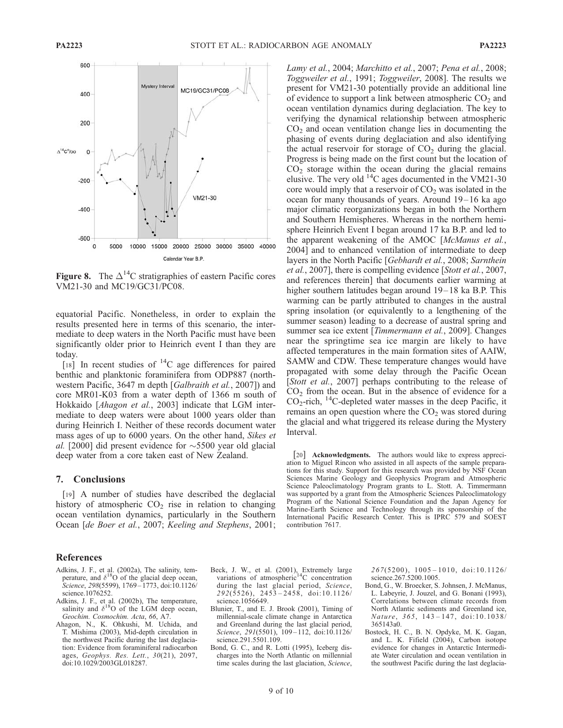

**Figure 8.** The  $\Delta^{14}$ C stratigraphies of eastern Pacific cores VM21-30 and MC19/GC31/PC08.

equatorial Pacific. Nonetheless, in order to explain the results presented here in terms of this scenario, the intermediate to deep waters in the North Pacific must have been significantly older prior to Heinrich event I than they are today.

[18] In recent studies of <sup>14</sup>C age differences for paired benthic and planktonic foraminifera from ODP887 (northwestern Pacific, 3647 m depth [Galbraith et al., 2007]) and core MR01-K03 from a water depth of 1366 m south of Hokkaido [Ahagon et al., 2003] indicate that LGM intermediate to deep waters were about 1000 years older than during Heinrich I. Neither of these records document water mass ages of up to 6000 years. On the other hand, Sikes et al. [2000] did present evidence for  $\sim$  5500 year old glacial deep water from a core taken east of New Zealand.

#### 7. Conclusions

[19] A number of studies have described the deglacial history of atmospheric  $CO<sub>2</sub>$  rise in relation to changing ocean ventilation dynamics, particularly in the Southern Ocean [de Boer et al., 2007; Keeling and Stephens, 2001;

#### References

- Adkins, J. F., et al. (2002a), The salinity, temperature, and  $\delta^{18}O$  of the glacial deep ocean, Science, 298(5599), 1769–1773, doi:10.1126/ science.1076252.
- Adkins, J. F., et al. (2002b), The temperature, salinity and  $\delta^{18}$ O of the LGM deep ocean, Geochim. Cosmochim. Acta, 66, A7.
- Ahagon, N., K. Ohkushi, M. Uchida, and T. Mishima (2003), Mid-depth circulation in the northwest Pacific during the last deglaciation: Evidence from foraminiferal radiocarbon ages, Geophys. Res. Lett., 30(21), 2097, doi:10.1029/2003GL018287.

Beck, J. W., et al. (2001), Extremely large variations of atmospheric $14C$  concentration during the last glacial period, Science, 292(5526), 2453 – 2458, doi:10.1126/ science.1056649.

- Blunier, T., and E. J. Brook (2001), Timing of millennial-scale climate change in Antarctica and Greenland during the last glacial period, Science, 291(5501), 109-112, doi:10.1126/ science.291.5501.109.
- Bond, G. C., and R. Lotti (1995), Iceberg discharges into the North Atlantic on millennial time scales during the last glaciation, Science,

Lamy et al., 2004; Marchitto et al., 2007; Pena et al., 2008; Toggweiler et al., 1991; Toggweiler, 2008]. The results we present for VM21-30 potentially provide an additional line of evidence to support a link between atmospheric  $CO<sub>2</sub>$  and ocean ventilation dynamics during deglaciation. The key to verifying the dynamical relationship between atmospheric  $CO<sub>2</sub>$  and ocean ventilation change lies in documenting the phasing of events during deglaciation and also identifying the actual reservoir for storage of  $CO<sub>2</sub>$  during the glacial. Progress is being made on the first count but the location of  $CO<sub>2</sub>$  storage within the ocean during the glacial remains elusive. The very old  $^{14}$ C ages documented in the VM21-30 core would imply that a reservoir of  $CO<sub>2</sub>$  was isolated in the ocean for many thousands of years. Around 19-16 ka ago major climatic reorganizations began in both the Northern and Southern Hemispheres. Whereas in the northern hemisphere Heinrich Event I began around 17 ka B.P. and led to the apparent weakening of the AMOC [McManus et al., 2004] and to enhanced ventilation of intermediate to deep layers in the North Pacific [Gebhardt et al., 2008; Sarnthein et al., 2007], there is compelling evidence [Stott et al., 2007, and references therein] that documents earlier warming at higher southern latitudes began around 19–18 ka B.P. This warming can be partly attributed to changes in the austral spring insolation (or equivalently to a lengthening of the summer season) leading to a decrease of austral spring and summer sea ice extent [Timmermann et al., 2009]. Changes near the springtime sea ice margin are likely to have affected temperatures in the main formation sites of AAIW, SAMW and CDW. These temperature changes would have propagated with some delay through the Pacific Ocean [Stott et al., 2007] perhaps contributing to the release of  $CO<sub>2</sub>$  from the ocean. But in the absence of evidence for a  $CO_2$ -rich, <sup>14</sup>C-depleted water masses in the deep Pacific, it remains an open question where the  $CO<sub>2</sub>$  was stored during the glacial and what triggered its release during the Mystery Interval.

[20] **Acknowledgments.** The authors would like to express appreciation to Miguel Rincon who assisted in all aspects of the sample preparations for this study. Support for this research was provided by NSF Ocean Sciences Marine Geology and Geophysics Program and Atmospheric Science Paleoclimatology Program grants to L. Stott. A. Timmermann was supported by a grant from the Atmospheric Sciences Paleoclimatology Program of the National Science Foundation and the Japan Agency for Marine-Earth Science and Technology through its sponsorship of the International Pacific Research Center. This is IPRC 579 and SOEST contribution 7617.

> $267(5200)$ ,  $1005 - 1010$ , doi:10.1126/ science.267.5200.1005.

- Bond, G., W. Broecker, S. Johnsen, J. McManus, L. Labeyrie, J. Jouzel, and G. Bonani (1993), Correlations between climate records from North Atlantic sediments and Greenland ice, Nature, 365, 143-147, doi:10.1038/ 365143a0.
- Bostock, H. C., B. N. Opdyke, M. K. Gagan, and L. K. Fifield (2004), Carbon isotope evidence for changes in Antarctic Intermediate Water circulation and ocean ventilation in the southwest Pacific during the last deglacia-